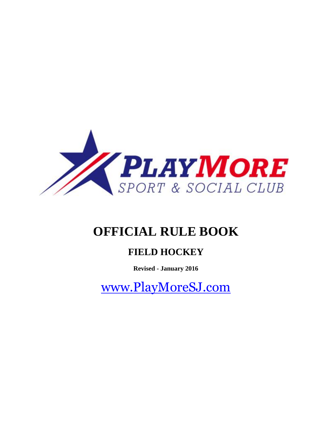

# **OFFICIAL RULE BOOK**

# **FIELD HOCKEY**

**Revised - January 2016**

[www.PlayMoreSJ.com](http://www.playmoresj.com/)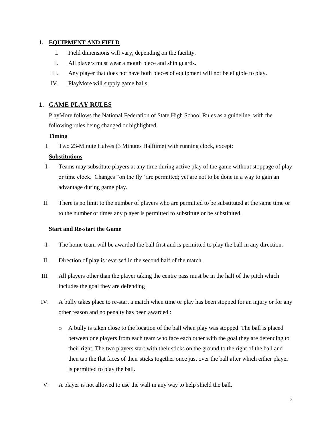#### **1. EQUIPMENT AND FIELD**

- I. Field dimensions will vary, depending on the facility.
- II. All players must wear a mouth piece and shin guards.
- III. Any player that does not have both pieces of equipment will not be eligible to play.
- IV. PlayMore will supply game balls.

# **1. GAME PLAY RULES**

PlayMore follows the National Federation of State High School Rules as a guideline, with the following rules being changed or highlighted.

#### **Timing**

I. Two 23-Minute Halves (3 Minutes Halftime) with running clock, except:

#### **Substitutions**

- I. Teams may substitute players at any time during active play of the game without stoppage of play or time clock. Changes "on the fly" are permitted; yet are not to be done in a way to gain an advantage during game play.
- II. There is no limit to the number of players who are permitted to be substituted at the same time or to the number of times any player is permitted to substitute or be substituted.

# **Start and Re-start the Game**

- I. The home team will be awarded the ball first and is permitted to play the ball in any direction.
- II. Direction of play is reversed in the second half of the match.
- III. All players other than the player taking the centre pass must be in the half of the pitch which includes the goal they are defending
- IV. A bully takes place to re-start a match when time or play has been stopped for an injury or for any other reason and no penalty has been awarded :
	- $\circ$  A bully is taken close to the location of the ball when play was stopped. The ball is placed between one players from each team who face each other with the goal they are defending to their right. The two players start with their sticks on the ground to the right of the ball and then tap the flat faces of their sticks together once just over the ball after which either player is permitted to play the ball.
- V. A player is not allowed to use the wall in any way to help shield the ball.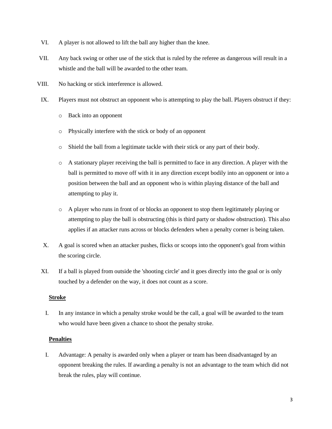- VI. A player is not allowed to lift the ball any higher than the knee.
- VII. Any back swing or other use of the stick that is ruled by the referee as dangerous will result in a whistle and the ball will be awarded to the other team.
- VIII. No hacking or stick interference is allowed.
- IX. Players must not obstruct an opponent who is attempting to play the ball. Players obstruct if they:
	- o Back into an opponent
	- o Physically interfere with the stick or body of an opponent
	- o Shield the ball from a legitimate tackle with their stick or any part of their body.
	- o A stationary player receiving the ball is permitted to face in any direction. A player with the ball is permitted to move off with it in any direction except bodily into an opponent or into a position between the ball and an opponent who is within playing distance of the ball and attempting to play it.
	- o A player who runs in front of or blocks an opponent to stop them legitimately playing or attempting to play the ball is obstructing (this is third party or shadow obstruction). This also applies if an attacker runs across or blocks defenders when a penalty corner is being taken.
- X. A goal is scored when an attacker pushes, flicks or scoops into the opponent's goal from within the scoring circle.
- XI. If a ball is played from outside the 'shooting circle' and it goes directly into the goal or is only touched by a defender on the way, it does not count as a score.

#### **Stroke**

I. In any instance in which a penalty stroke would be the call, a goal will be awarded to the team who would have been given a chance to shoot the penalty stroke.

# **Penalties**

I. Advantage: A penalty is awarded only when a player or team has been disadvantaged by an opponent breaking the rules. If awarding a penalty is not an advantage to the team which did not break the rules, play will continue.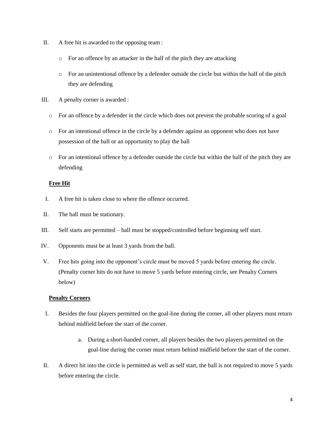- II. A free hit is awarded to the opposing team :
	- o For an offence by an attacker in the half of the pitch they are attacking
	- o For an unintentional offence by a defender outside the circle but within the half of the pitch they are defending
- III. A penalty corner is awarded :
	- o For an offence by a defender in the circle which does not prevent the probable scoring of a goal
	- o For an intentional offence in the circle by a defender against an opponent who does not have possession of the ball or an opportunity to play the ball
	- $\circ$  For an intentional offence by a defender outside the circle but within the half of the pitch they are defending

# **Free Hit**

- I. A free hit is taken close to where the offence occurred.
- II. The ball must be stationary.
- III. Self starts are permitted ball must be stopped/controlled before beginning self start.
- IV. Opponents must be at least 3 yards from the ball.
- V. Free hits going into the opponent's circle must be moved 5 yards before entering the circle. (Penalty corner hits do not have to move 5 yards before entering circle, see Penalty Corners below)

# **Penalty Corners**

- I. Besides the four players permitted on the goal-line during the corner, all other players must return behind midfield before the start of the corner.
	- a. During a short-handed corner, all players besides the two players permitted on the goal-line during the corner must return behind midfield before the start of the corner.
- II. A direct hit into the circle is permitted as well as self start, the ball is not required to move 5 yards before entering the circle.